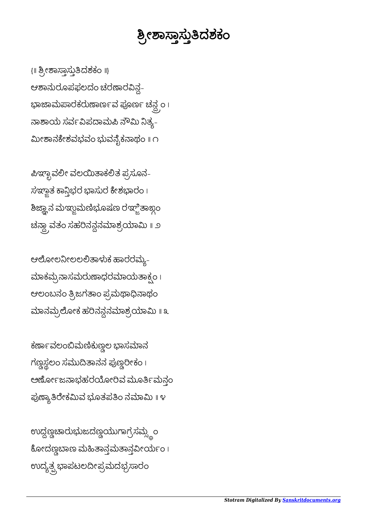ಉದ್ದಣ್ಣಚಾರುಭುಜದಣ್ಣಯುಗಾಗ್ರಸಮ್ಸ್ಧಂ ಕೋದಣ್ಣಬಾಣ ಮಹಿತಾನ್ಗಮತಾನ್ಗವೀರ್ಯಂ। ಉದ್ಯತ್ಪ್ರಭಾಪಟಲದೀಪ್ರಮದಭ್ರಸಾರ<mark>ಂ</mark>

ಕರ್ಣಾವಲಂಬಿಮಣಿಕುಣ್ಣಲ ಭಾಸಮಾನ ಗಣ್ಣಸ್ಥಲಂ ಸಮುದಿತಾನನ ಪುಣ್ಣರೀಕಂ । ಅರ್ಣೋಜನಾಭಹರಯೋರಿವ ಮೂರ್ತಿಮನ್ಗಂ ಪುಣ್ಯಾತಿರೇಕಮಿವ ಭೂತಪತಿಂ ನಮಾಮಿ ॥ ೪

ಆಲೋಲನೀಲಲಲಿತಾಳುಕ ಹಾರರಮ್ಯ– ಮಾಕಮ್ರನಾಸಮರುಣಾಧರಮಾಯತಾಕ್ಸಂ । ಆಲಂಬನಂ ತ್ರಿಜಗತಾಂ ಪ್ರಮಥಾಧಿನಾಥಂ ಮಾನಮ್ರಲೋಕ ಹರಿನನ್ಧನಮಾಶ್ರಯಾಮಿ ॥ ೩

ಪಿಞ್ಛಾವಲೀ ವಲಯಿತಾಕಲಿತ ಪ್ರಸೂನ- $\vec{a}$  ಸಞ್ದಾತ ಕಾನ್ಗಿಭರ ಭಾಸುರ ಕೇಶಭಾರಂ । ಶಿಜ್ಞಾನ ಮಞ್ಚುಮಣಿಭೂಷಣ ರಞ್ಜಿತಾಙ್ದಂ ಚನ್ದಾ ವತಂ ಸಹರಿನನ್ದನಮಾಶ್ರಯಾಮಿ <mark>॥</mark> ೨

{॥ ಶ್ರೀಶಾಸ್ತಾಸ್ತುತಿದಶಕಂ ॥} ಆಶಾನುರೂಪಫಲದಂ ಚರಣಾರವಿನ್ಧ-ಭಾಜಾಮಪಾರಕರುಣಾರ್ಣವ ಪೂರ್ಣ ಚನ್ಧ್ರಂ। ನಾಶಾಯ ಸರ್ವವಿಪದಾಮಪಿ ನೌಮಿ ನಿತ್ಯ-ೕಾನೇಶವಭವಂ ಭುವೈಕಾಥಂ ॥ ೧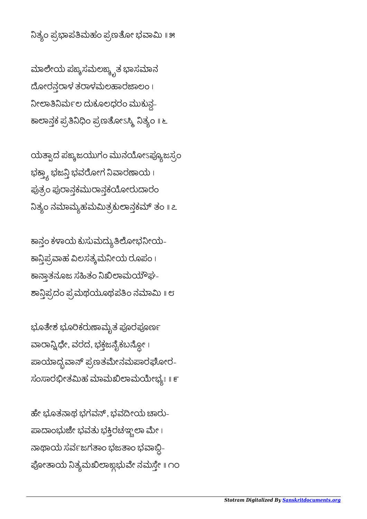ನಿತ್ಯಂ ಪ್ರಭಾಪತಿಮಹಂ ಪ್ರಣತೋ ಭವಾಮಿ ॥ ೫

ಮಾಲೇಯ ಪಙ್ಕಸಮಲಙ್ಕೃತ ಭಾಸಮಾನ ದೋರನ್ಗರಾಳ ತರಾಳಮಲಹಾರಜಾಲಂ । ನೀಲಾತಿನಿರ್ಮಲ ದುಕೂಲಧರಂ ಮುಕುನ್ಗ-ಕಾಲಾನ್ತಕ ಪ್ರತಿನಿಧಿಂ ಪ್ರಣತೋಽಸ್ಮಿ ನಿತ್ಯಂ <mark>॥</mark> ೬

ಯತ್ಪಾದ ಪಙ್ಕಜಯುಗಂ ಮುನಯೋಽಪ್ಯೂಜಸ್ರಂ ಭಕ್ತ್ಯಾ ಭಜ<mark>ನ್ತಿ</mark> ಭವರೋಗ ನಿವಾರಣಾಯ ၊ ಪುತ್ರಂ ಪುರಾನ್ಗಕಮುರಾನ್ಗಕಯೋರುದಾರಂ ನಿತ್ಯಂ ನಮಾಮ್ಯಹಮಮಿತ್ರಕುಲಾನ್ಗಕಮ್ ತಂ ॥ ೭

ಕಾನ್ತಂ ಕಳಾಯ ಕುಸುಮದ್ಯುತಿಲೋಭನೀಯ-ಕಾನ್ತಿಪ್ರವಾಹ ವಿಲಸತ್ಕಮನೀಯ ರೂಪಂ। ಕಾನ್ತಾತನೂಜ ಸಹಿತಂ ನಿಖಿಲಾಮಯೌಘ-ಶಾನ್ತಿಪ್ರದಂ ಪ್ರಮಥಯೂಥಪತಿಂ ನಮಾಮಿ ॥ ೮

ಭೂತೇಶ ಭೂರಿಕರುಣಾಮೃತ ಪೂರಪೂರ್ಣ ವಾರಾನ್ನಿಧೇ, ವರದ, ಭಕ್ತಜನೈಕಬನ್ದೋ। ಪಾಯಾಧ್ಯವಾನ್ ಪ್ರಣತಮೇನಮಪಾರಘೋರ-ಸಂಸಾರಭೀತಮಿಹ ಮಾಮಖಿಲಾಮಯೇಭ್ಯಃ ॥ ೯

ಹೇ ಭೂತನಾಥ ಭಗವನ್, ಭವದೀಯ ಚಾರು-ಪಾದಾಂಭುಜೇ ಭವತು ಭಕ್ತಿರಚಞ್ಚಲಾ ಮೇ। ನಾಥಾಯ ಸರ್ವಜಗತಾಂ ಭಜತಾಂ ಭವಾಬ್ದಿ-ಪೋತಾಯ ನಿತ್ಯಮಖಿಲಾಙ್ಗಭುವೇ ನಮಸ್ತೇ ॥ ೧೦